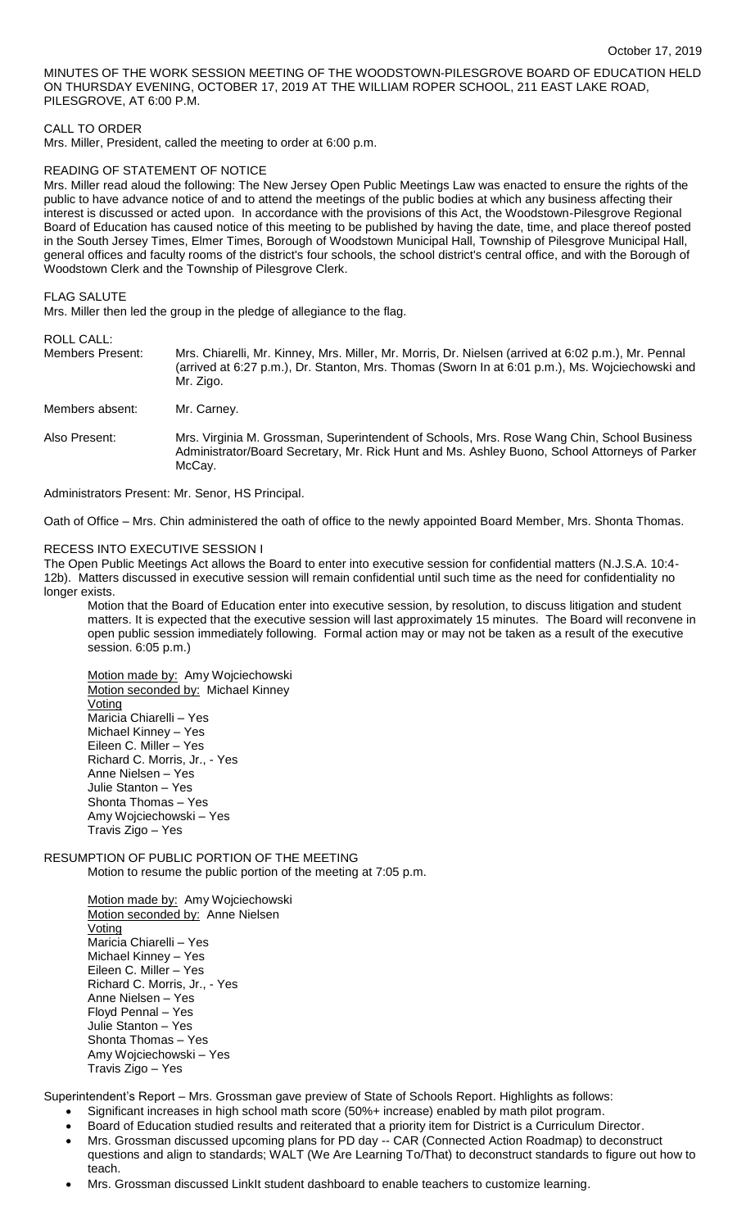MINUTES OF THE WORK SESSION MEETING OF THE WOODSTOWN-PILESGROVE BOARD OF EDUCATION HELD ON THURSDAY EVENING, OCTOBER 17, 2019 AT THE WILLIAM ROPER SCHOOL, 211 EAST LAKE ROAD, PILESGROVE, AT 6:00 P.M.

## CALL TO ORDER

Mrs. Miller, President, called the meeting to order at 6:00 p.m.

### READING OF STATEMENT OF NOTICE

Mrs. Miller read aloud the following: The New Jersey Open Public Meetings Law was enacted to ensure the rights of the public to have advance notice of and to attend the meetings of the public bodies at which any business affecting their interest is discussed or acted upon. In accordance with the provisions of this Act, the Woodstown-Pilesgrove Regional Board of Education has caused notice of this meeting to be published by having the date, time, and place thereof posted in the South Jersey Times, Elmer Times, Borough of Woodstown Municipal Hall, Township of Pilesgrove Municipal Hall, general offices and faculty rooms of the district's four schools, the school district's central office, and with the Borough of Woodstown Clerk and the Township of Pilesgrove Clerk.

### FLAG SALUTE

Mrs. Miller then led the group in the pledge of allegiance to the flag.

ROLL CALL:<br>Members Present: Mrs. Chiarelli, Mr. Kinney, Mrs. Miller, Mr. Morris, Dr. Nielsen (arrived at 6:02 p.m.), Mr. Pennal (arrived at 6:27 p.m.), Dr. Stanton, Mrs. Thomas (Sworn In at 6:01 p.m.), Ms. Wojciechowski and Mr. Zigo.

Also Present: Mrs. Virginia M. Grossman, Superintendent of Schools, Mrs. Rose Wang Chin, School Business Administrator/Board Secretary, Mr. Rick Hunt and Ms. Ashley Buono, School Attorneys of Parker McCay.

Administrators Present: Mr. Senor, HS Principal.

Oath of Office – Mrs. Chin administered the oath of office to the newly appointed Board Member, Mrs. Shonta Thomas.

### RECESS INTO EXECUTIVE SESSION I

Members absent: Mr. Carney.

The Open Public Meetings Act allows the Board to enter into executive session for confidential matters (N.J.S.A. 10:4- 12b). Matters discussed in executive session will remain confidential until such time as the need for confidentiality no longer exists.

Motion that the Board of Education enter into executive session, by resolution, to discuss litigation and student matters. It is expected that the executive session will last approximately 15 minutes. The Board will reconvene in open public session immediately following. Formal action may or may not be taken as a result of the executive session. 6:05 p.m.)

Motion made by: Amy Wojciechowski Motion seconded by: Michael Kinney **Voting** Maricia Chiarelli – Yes Michael Kinney – Yes Eileen C. Miller – Yes Richard C. Morris, Jr., - Yes Anne Nielsen – Yes Julie Stanton – Yes Shonta Thomas – Yes Amy Wojciechowski – Yes Travis Zigo – Yes

## RESUMPTION OF PUBLIC PORTION OF THE MEETING Motion to resume the public portion of the meeting at 7:05 p.m.

Motion made by: Amy Wojciechowski Motion seconded by: Anne Nielsen Voting Maricia Chiarelli – Yes Michael Kinney – Yes Eileen C. Miller – Yes Richard C. Morris, Jr., - Yes Anne Nielsen – Yes Floyd Pennal – Yes Julie Stanton – Yes Shonta Thomas – Yes Amy Wojciechowski – Yes Travis Zigo – Yes

Superintendent's Report – Mrs. Grossman gave preview of State of Schools Report. Highlights as follows:

- Significant increases in high school math score (50%+ increase) enabled by math pilot program.
- Board of Education studied results and reiterated that a priority item for District is a Curriculum Director.
- Mrs. Grossman discussed upcoming plans for PD day -- CAR (Connected Action Roadmap) to deconstruct questions and align to standards; WALT (We Are Learning To/That) to deconstruct standards to figure out how to teach.
- Mrs. Grossman discussed LinkIt student dashboard to enable teachers to customize learning.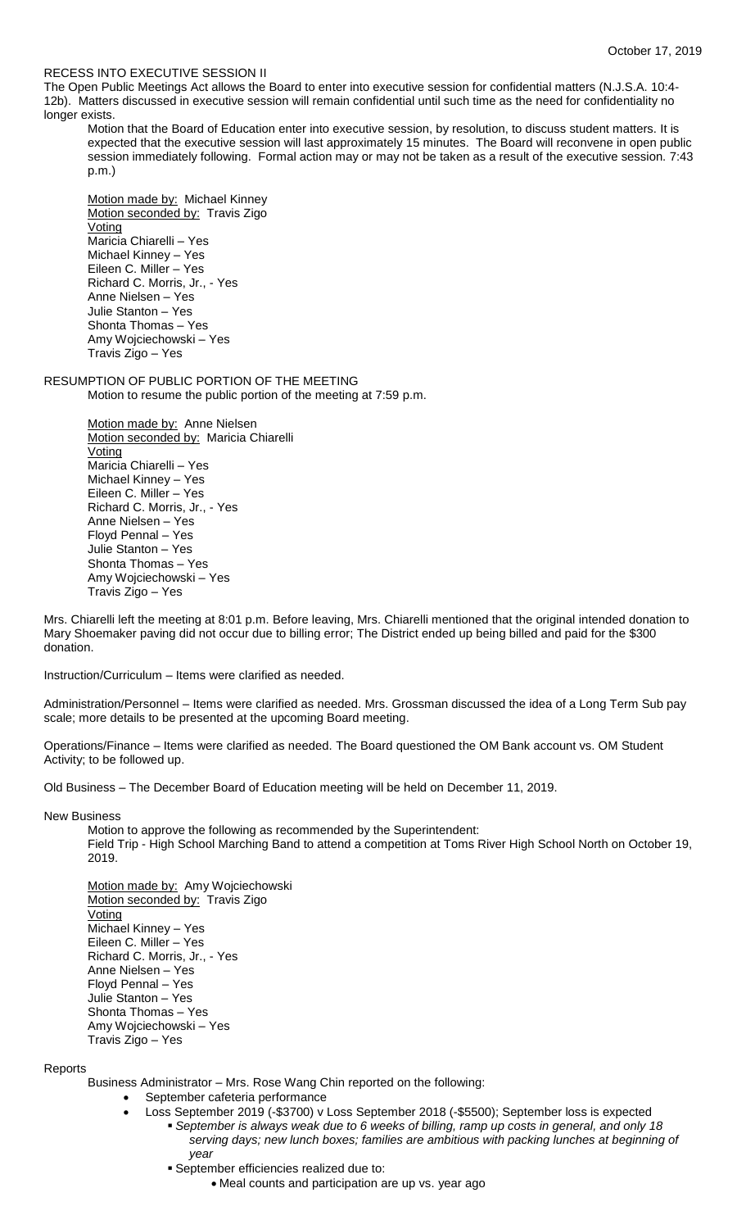# RECESS INTO EXECUTIVE SESSION II

The Open Public Meetings Act allows the Board to enter into executive session for confidential matters (N.J.S.A. 10:4- 12b). Matters discussed in executive session will remain confidential until such time as the need for confidentiality no longer exists.

Motion that the Board of Education enter into executive session, by resolution, to discuss student matters. It is expected that the executive session will last approximately 15 minutes. The Board will reconvene in open public session immediately following. Formal action may or may not be taken as a result of the executive session. 7:43 p.m.)

Motion made by: Michael Kinney Motion seconded by: Travis Zigo Voting Maricia Chiarelli – Yes Michael Kinney – Yes Eileen C. Miller – Yes Richard C. Morris, Jr., - Yes Anne Nielsen – Yes Julie Stanton – Yes Shonta Thomas – Yes Amy Wojciechowski – Yes Travis Zigo – Yes

RESUMPTION OF PUBLIC PORTION OF THE MEETING Motion to resume the public portion of the meeting at 7:59 p.m.

> Motion made by: Anne Nielsen Motion seconded by: Maricia Chiarelli Voting Maricia Chiarelli – Yes Michael Kinney – Yes Eileen C. Miller – Yes Richard C. Morris, Jr., - Yes Anne Nielsen – Yes Floyd Pennal – Yes Julie Stanton – Yes Shonta Thomas – Yes Amy Wojciechowski – Yes Travis Zigo – Yes

Mrs. Chiarelli left the meeting at 8:01 p.m. Before leaving, Mrs. Chiarelli mentioned that the original intended donation to Mary Shoemaker paving did not occur due to billing error; The District ended up being billed and paid for the \$300 donation.

Instruction/Curriculum – Items were clarified as needed.

Administration/Personnel – Items were clarified as needed. Mrs. Grossman discussed the idea of a Long Term Sub pay scale; more details to be presented at the upcoming Board meeting.

Operations/Finance – Items were clarified as needed. The Board questioned the OM Bank account vs. OM Student Activity; to be followed up.

Old Business – The December Board of Education meeting will be held on December 11, 2019.

New Business

Motion to approve the following as recommended by the Superintendent: Field Trip - High School Marching Band to attend a competition at Toms River High School North on October 19, 2019.

Motion made by: Amy Wojciechowski Motion seconded by: Travis Zigo Voting Michael Kinney – Yes Eileen C. Miller – Yes Richard C. Morris, Jr., - Yes Anne Nielsen – Yes Floyd Pennal – Yes Julie Stanton – Yes Shonta Thomas – Yes Amy Wojciechowski – Yes Travis Zigo – Yes

**Reports** 

Business Administrator – Mrs. Rose Wang Chin reported on the following:

- September cafeteria performance
- Loss September 2019 (-\$3700) v Loss September 2018 (-\$5500); September loss is expected *September is always weak due to 6 weeks of billing, ramp up costs in general, and only 18 serving days; new lunch boxes; families are ambitious with packing lunches at beginning of year*
	- September efficiencies realized due to:
		- Meal counts and participation are up vs. year ago